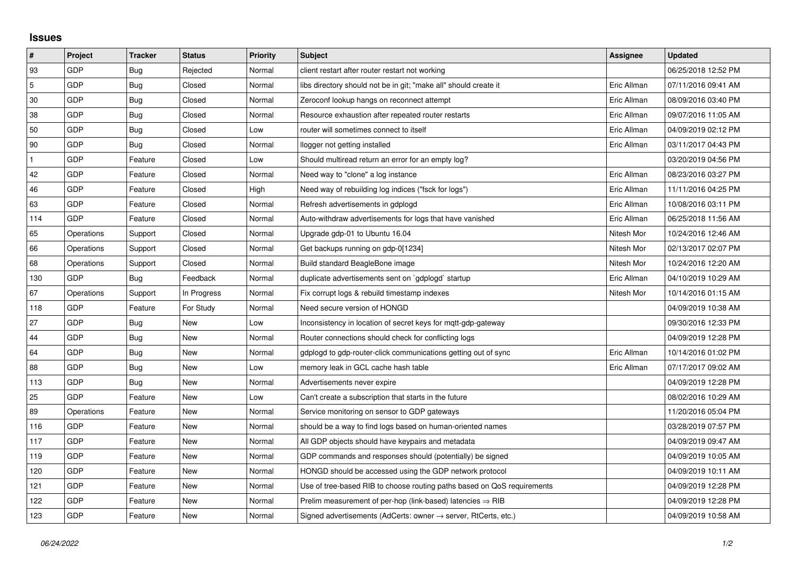## **Issues**

| $\pmb{\sharp}$ | Project    | <b>Tracker</b> | <b>Status</b> | <b>Priority</b> | <b>Subject</b>                                                             | Assignee    | <b>Updated</b>      |
|----------------|------------|----------------|---------------|-----------------|----------------------------------------------------------------------------|-------------|---------------------|
| 93             | GDP        | Bug            | Rejected      | Normal          | client restart after router restart not working                            |             | 06/25/2018 12:52 PM |
| $\mathbf 5$    | GDP        | Bug            | Closed        | Normal          | libs directory should not be in git; "make all" should create it           | Eric Allman | 07/11/2016 09:41 AM |
| 30             | GDP        | Bug            | Closed        | Normal          | Zeroconf lookup hangs on reconnect attempt                                 | Eric Allman | 08/09/2016 03:40 PM |
| 38             | <b>GDP</b> | Bug            | Closed        | Normal          | Resource exhaustion after repeated router restarts                         | Eric Allman | 09/07/2016 11:05 AM |
| 50             | GDP        | Bug            | Closed        | Low             | router will sometimes connect to itself                                    | Eric Allman | 04/09/2019 02:12 PM |
| 90             | GDP        | Bug            | Closed        | Normal          | llogger not getting installed                                              | Eric Allman | 03/11/2017 04:43 PM |
|                | <b>GDP</b> | Feature        | Closed        | Low             | Should multiread return an error for an empty log?                         |             | 03/20/2019 04:56 PM |
| 42             | GDP        | Feature        | Closed        | Normal          | Need way to "clone" a log instance                                         | Eric Allman | 08/23/2016 03:27 PM |
| 46             | <b>GDP</b> | Feature        | Closed        | High            | Need way of rebuilding log indices ("fsck for logs")                       | Eric Allman | 11/11/2016 04:25 PM |
| 63             | <b>GDP</b> | Feature        | Closed        | Normal          | Refresh advertisements in gdplogd                                          | Eric Allman | 10/08/2016 03:11 PM |
| 114            | GDP        | Feature        | Closed        | Normal          | Auto-withdraw advertisements for logs that have vanished                   | Eric Allman | 06/25/2018 11:56 AM |
| 65             | Operations | Support        | Closed        | Normal          | Upgrade gdp-01 to Ubuntu 16.04                                             | Nitesh Mor  | 10/24/2016 12:46 AM |
| 66             | Operations | Support        | Closed        | Normal          | Get backups running on gdp-0[1234]                                         | Nitesh Mor  | 02/13/2017 02:07 PM |
| 68             | Operations | Support        | Closed        | Normal          | Build standard BeagleBone image                                            | Nitesh Mor  | 10/24/2016 12:20 AM |
| 130            | <b>GDP</b> | Bug            | Feedback      | Normal          | duplicate advertisements sent on `gdplogd` startup                         | Eric Allman | 04/10/2019 10:29 AM |
| 67             | Operations | Support        | In Progress   | Normal          | Fix corrupt logs & rebuild timestamp indexes                               | Nitesh Mor  | 10/14/2016 01:15 AM |
| 118            | <b>GDP</b> | Feature        | For Study     | Normal          | Need secure version of HONGD                                               |             | 04/09/2019 10:38 AM |
| 27             | <b>GDP</b> | Bug            | New           | Low             | Inconsistency in location of secret keys for mgtt-gdp-gateway              |             | 09/30/2016 12:33 PM |
| 44             | <b>GDP</b> | Bug            | New           | Normal          | Router connections should check for conflicting logs                       |             | 04/09/2019 12:28 PM |
| 64             | GDP        | Bug            | New           | Normal          | gdplogd to gdp-router-click communications getting out of sync             | Eric Allman | 10/14/2016 01:02 PM |
| 88             | <b>GDP</b> | Bug            | New           | Low             | memory leak in GCL cache hash table                                        | Eric Allman | 07/17/2017 09:02 AM |
| 113            | <b>GDP</b> | <b>Bug</b>     | New           | Normal          | Advertisements never expire                                                |             | 04/09/2019 12:28 PM |
| 25             | <b>GDP</b> | Feature        | New           | Low             | Can't create a subscription that starts in the future                      |             | 08/02/2016 10:29 AM |
| 89             | Operations | Feature        | <b>New</b>    | Normal          | Service monitoring on sensor to GDP gateways                               |             | 11/20/2016 05:04 PM |
| 116            | <b>GDP</b> | Feature        | New           | Normal          | should be a way to find logs based on human-oriented names                 |             | 03/28/2019 07:57 PM |
| 117            | <b>GDP</b> | Feature        | New           | Normal          | All GDP objects should have keypairs and metadata                          |             | 04/09/2019 09:47 AM |
| 119            | GDP        | Feature        | <b>New</b>    | Normal          | GDP commands and responses should (potentially) be signed                  |             | 04/09/2019 10:05 AM |
| 120            | <b>GDP</b> | Feature        | <b>New</b>    | Normal          | HONGD should be accessed using the GDP network protocol                    |             | 04/09/2019 10:11 AM |
| 121            | <b>GDP</b> | Feature        | <b>New</b>    | Normal          | Use of tree-based RIB to choose routing paths based on QoS requirements    |             | 04/09/2019 12:28 PM |
| 122            | GDP        | Feature        | New           | Normal          | Prelim measurement of per-hop (link-based) latencies $\Rightarrow$ RIB     |             | 04/09/2019 12:28 PM |
| 123            | GDP        | Feature        | <b>New</b>    | Normal          | Signed advertisements (AdCerts: owner $\rightarrow$ server, RtCerts, etc.) |             | 04/09/2019 10:58 AM |